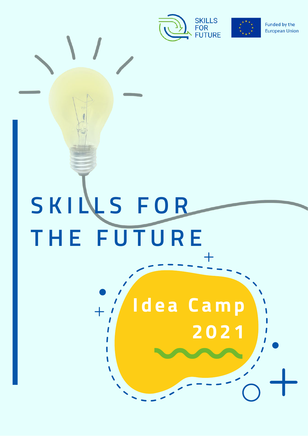

 $\overline{+}$ 

2021

Idea Camp



Funded by the **European Union** 

# SKILLS FOR THE FUTURE

 $\overline{+}$ 

 $\sqrt{2}$  $\mathbf{\mathcal{L}}$ 

 $\mathbf{r}$ 

 $\blacksquare$  $\overline{\mathbf{S}}$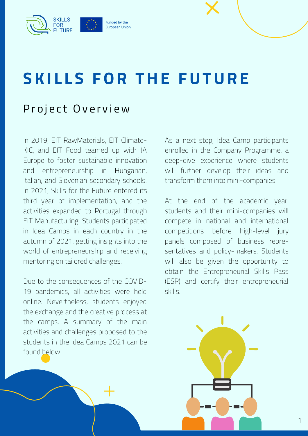

### **SKILLS FOR THE FUTURE**

#### Project Overview

[In 2019, E](https://www.climate-kic.org/)[IT RawMaterials](https://eitrawmaterials.eu/)[, EIT Climate-](https://www.climate-kic.org/)KIC, and [EIT Food](https://www.eitfood.eu/) teamed up with JA [Europe to foster sustainable innovation](http://www.jaeurope.org/) and entrepreneurship in Hungarian, Italian, and Slovenian secondary schools. In 2021, Skills for the Future entered its third year of implementation, and the activities expanded to Portugal through [EIT Manufacturing](https://www.eitmanufacturing.eu/). Students participated in Idea Camps in each country in the autumn of 2021, getting insights into the world of entrepreneurship and receiving mentoring on tailored challenges.

Due to the consequences of the COVID-19 pandemics, all activities were held online. Nevertheless, students enjoyed the exchange and the creative process at the camps. A summary of the main activities and challenges proposed to the students in the Idea Camps 2021 can be found below.

As a next step, Idea Camp participants enrolled in the Company Programme, a deep-dive experience where students will further develop their ideas and transform them into mini-companies.

At the end of the academic year, students and their mini-companies will compete in national and international competitions before high-level jury panels composed of business representatives and policy-makers. Students will also be given the opportunity to obtain the Entrepreneurial Skills Pass (ESP) and certify their entrepreneurial skills.

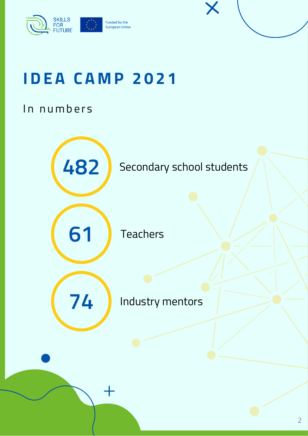

### **I D E A C A M P 2 0 2 1**

#### In numbers

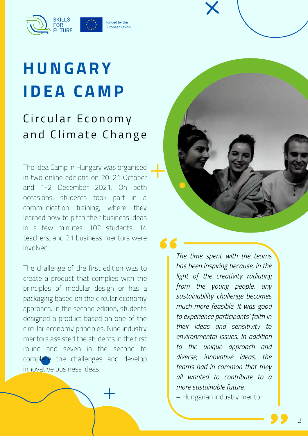

### **H U N G A R Y I D E A C A M P**

#### Circular Economy and Climate Change

The Idea Camp in Hungary was organised in two online editions on 20-21 October and 1-2 December 2021. On both occasions, students took part in a communication training, where they learned how to pitch their business ideas in a few minutes. 102 students, 14 teachers, and 21 business mentors were involved.

The challenge of the first edition was to create a product that complies with the principles of modular design or has a packaging based on the circular economy approach. In the second edition, students designed a product based on one of the circular economy principles. Nine industry mentors assisted the students in the first round and seven in the second to complete the challenges and develop innovative business ideas.



*The time spent with the teams has been inspiring because, in the light of the creativity radiating from the young people, any sustainability challenge becomes much more feasible. It was good to experience participants' faith in their ideas and sensitivity to environmental issues. In addition to the unique approach and diverse, innovative ideas, the teams had in common that they all wanted to contribute to a more sustainable future.*

– Hungarian industry mentor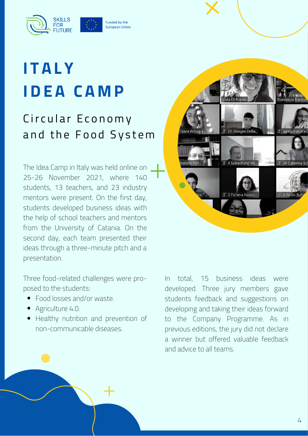

### **I T A L Y I D E A C A M P**

#### Circular Economy and the Food System

The Idea Camp in Italy was held online on 25-26 November 2021, where 140 students, 13 teachers, and 23 industry mentors were present. On the first day, students developed business ideas with the help of school teachers and mentors from the University of Catania. On the second day, each team presented their ideas through a three-minute pitch and a presentation.

Three food-related challenges were proposed to the students:

- Food losses and/or waste.
- Agriculture 4.0.
- Healthy nutrition and prevention of non-communicable diseases.



In total, 15 business ideas were developed. Three jury members gave students feedback and suggestions on developing and taking their ideas forward to the Company Programme. As in previous editions, the jury did not declare a winner but offered valuable feedback and advice to all teams.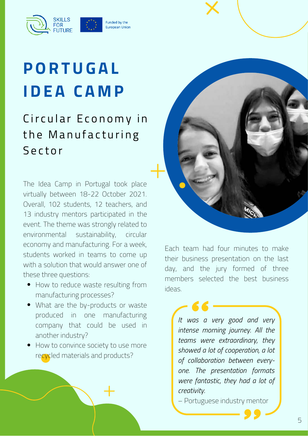Funded by the European Union

## **P O R T U G A L I D E A C A M P**

**FOR** 

#### Circular Economy in the Manufacturing **Sector**

The Idea Camp in Portugal took place virtually between 18-22 October 2021. Overall, 102 students, 12 teachers, and 13 industry mentors participated in the event. The theme was strongly related to environmental sustainability, circular economy and manufacturing. For a week, students worked in teams to come up with a solution that would answer one of these three questions:

- How to reduce waste resulting from manufacturing processes?
- What are the by-products or waste produced in one manufacturing company that could be used in another industry?
- How to convince society to use more recycled materials and products?



Each team had four minutes to make their business presentation on the last day, and the jury formed of three members selected the best business ideas.

> *It was a very good and very intense morning journey. All the teams were extraordinary, they showed a lot of cooperation, a lot of collaboration between everyone. The presentation formats were fantastic, they had a lot of creativity.*

– Portuguese industry mentor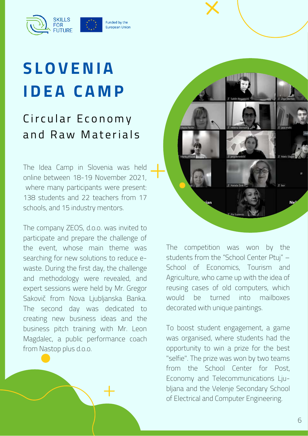Funded by the European Union

# **S L O V E N I A I D E A C A M P**

**FOR** 

#### Circular Economy and Raw Materials

The Idea Camp in Slovenia was held online between 18-19 November 2021, where many participants were present: 138 students and 22 teachers from 17 schools, and 15 industry mentors.

The company ZEOS, d.o.o. was invited to participate and prepare the challenge of the event, whose main theme was searching for new solutions to reduce ewaste. During the first day, the challenge and methodology were revealed, and expert sessions were held by Mr. Gregor Sakovič from Nova Ljubljanska Banka. The second day was dedicated to creating new business ideas and the business pitch training with Mr. Leon Magdalec, a public performance coach from Nastop plus d.o.o.



The competition was won by the students from the "School Center Ptuj" – School of Economics, Tourism and Agriculture, who came up with the idea of reusing cases of old computers, which would be turned into mailboxes decorated with unique paintings.

To boost student engagement, a game was organised, where students had the opportunity to win a prize for the best "selfie". The prize was won by two teams from the School Center for Post, Economy and Telecommunications Ljubljana and the Velenje Secondary School of Electrical and Computer Engineering.